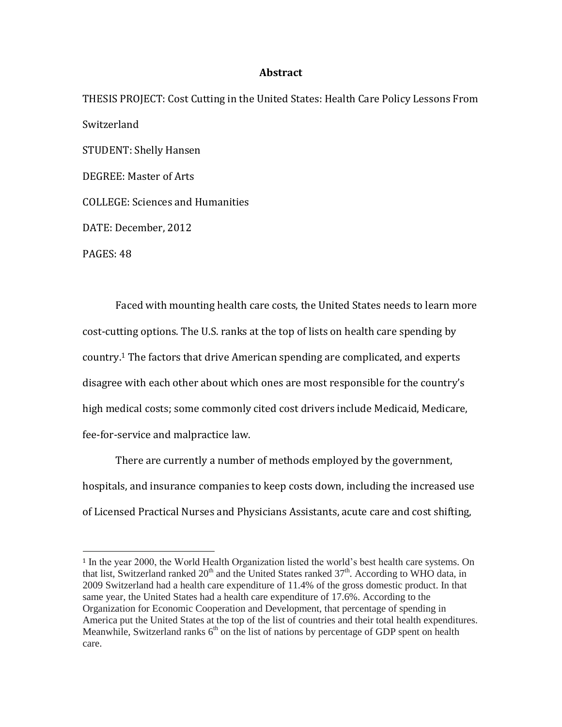## **Abstract**

THESIS PROJECT: Cost Cutting in the United States: Health Care Policy Lessons From Switzerland STUDENT: Shelly Hansen DEGREE: Master of Arts COLLEGE: Sciences and Humanities DATE: December, 2012 PAGES: 48

Faced with mounting health care costs, the United States needs to learn more cost-cutting options. The U.S. ranks at the top of lists on health care spending by country.<sup>1</sup> The factors that drive American spending are complicated, and experts disagree with each other about which ones are most responsible for the country's high medical costs; some commonly cited cost drivers include Medicaid, Medicare, fee-for-service and malpractice law.

There are currently a number of methods employed by the government, hospitals, and insurance companies to keep costs down, including the increased use of Licensed Practical Nurses and Physicians Assistants, acute care and cost shifting,

 $\overline{a}$ 

<sup>1</sup> In the year 2000, the World Health Organization listed the world's best health care systems. On that list, Switzerland ranked  $20<sup>th</sup>$  and the United States ranked  $37<sup>th</sup>$ . According to WHO data, in 2009 Switzerland had a health care expenditure of 11.4% of the gross domestic product. In that same year, the United States had a health care expenditure of 17.6%. According to the Organization for Economic Cooperation and Development, that percentage of spending in America put the United States at the top of the list of countries and their total health expenditures. Meanwhile, Switzerland ranks  $6<sup>th</sup>$  on the list of nations by percentage of GDP spent on health care.